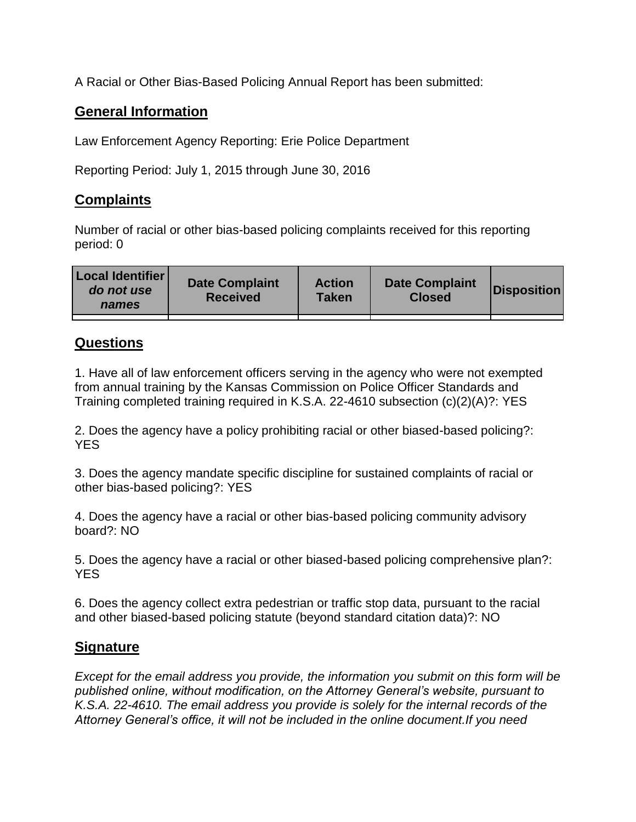A Racial or Other Bias-Based Policing Annual Report has been submitted:

## **General Information**

Law Enforcement Agency Reporting: Erie Police Department

Reporting Period: July 1, 2015 through June 30, 2016

## **Complaints**

Number of racial or other bias-based policing complaints received for this reporting period: 0

| <b>Local Identifier</b><br>do not use<br>names | <b>Date Complaint</b><br><b>Received</b> | <b>Action</b><br><b>Taken</b> | <b>Date Complaint</b><br><b>Closed</b> | Disposition |
|------------------------------------------------|------------------------------------------|-------------------------------|----------------------------------------|-------------|
|                                                |                                          |                               |                                        |             |

## **Questions**

1. Have all of law enforcement officers serving in the agency who were not exempted from annual training by the Kansas Commission on Police Officer Standards and Training completed training required in K.S.A. 22-4610 subsection (c)(2)(A)?: YES

2. Does the agency have a policy prohibiting racial or other biased-based policing?: YES

3. Does the agency mandate specific discipline for sustained complaints of racial or other bias-based policing?: YES

4. Does the agency have a racial or other bias-based policing community advisory board?: NO

5. Does the agency have a racial or other biased-based policing comprehensive plan?: YES

6. Does the agency collect extra pedestrian or traffic stop data, pursuant to the racial and other biased-based policing statute (beyond standard citation data)?: NO

## **Signature**

*Except for the email address you provide, the information you submit on this form will be published online, without modification, on the Attorney General's website, pursuant to K.S.A. 22-4610. The email address you provide is solely for the internal records of the Attorney General's office, it will not be included in the online document.If you need*